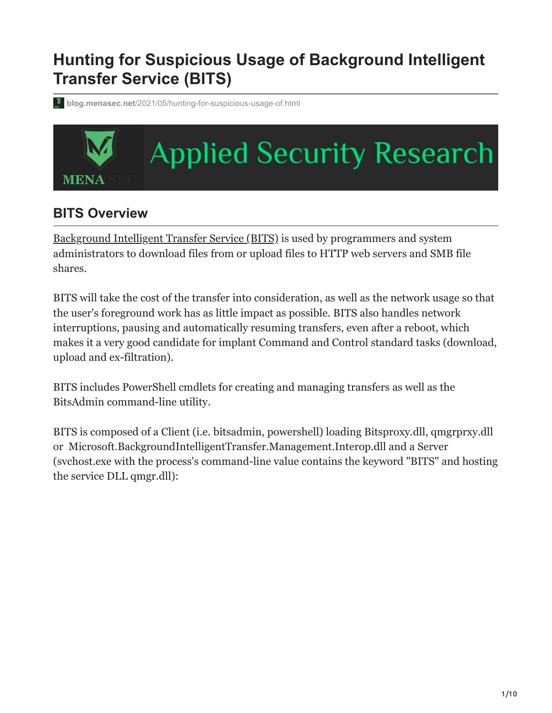# **Hunting for Suspicious Usage of Background Intelligent Transfer Service (BITS)**

**blog.menasec.net**[/2021/05/hunting-for-suspicious-usage-of.html](https://blog.menasec.net/2021/05/hunting-for-suspicious-usage-of.html)

# **Applied Security Research MENA**

# **BITS Overview**

[Background Intelligent Transfer Service \(BITS\)](https://docs.microsoft.com/en-us/windows/win32/bits/background-intelligent-transfer-service-portal) is used by programmers and system administrators to download files from or upload files to HTTP web servers and SMB file shares.

BITS will take the cost of the transfer into consideration, as well as the network usage so that the user's foreground work has as little impact as possible. BITS also handles network interruptions, pausing and automatically resuming transfers, even after a reboot, which makes it a very good candidate for implant Command and Control standard tasks (download, upload and ex-filtration).

BITS includes PowerShell cmdlets for creating and managing transfers as well as the BitsAdmin command-line utility.

BITS is composed of a Client (i.e. bitsadmin, powershell) loading Bitsproxy.dll, qmgrprxy.dll or Microsoft.BackgroundIntelligentTransfer.Management.Interop.dll and a Server (svchost.exe with the process's command-line value contains the keyword "BITS" and hosting the service DLL qmgr.dll):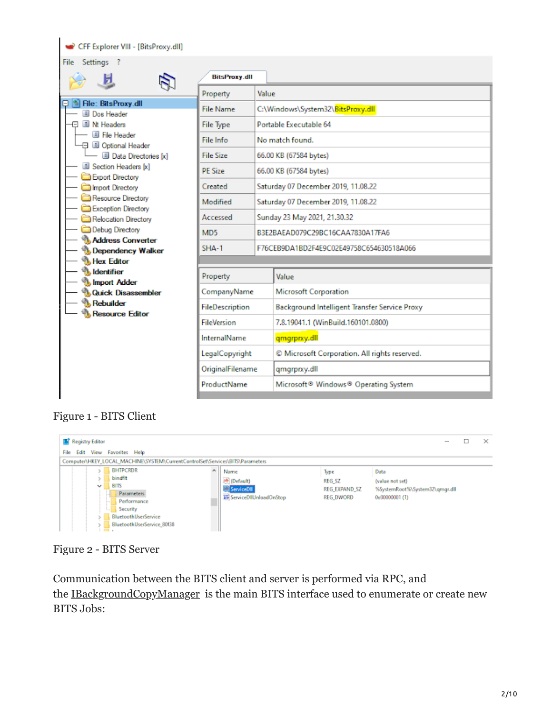| CFF Explorer VIII - [BitsProxy.dll]                              |                      |                        |                                                              |  |  |
|------------------------------------------------------------------|----------------------|------------------------|--------------------------------------------------------------|--|--|
| Settings ?<br>File                                               |                      |                        |                                                              |  |  |
|                                                                  | <b>BitsProxy.dll</b> |                        |                                                              |  |  |
|                                                                  | Property             | Value                  |                                                              |  |  |
| File: BitsProxy.dll<br>Dos Header                                | File Name            |                        | C:\Windows\System32\BitsProxy.dll                            |  |  |
| III Nt Headers                                                   | File Type            |                        | Portable Executable 64                                       |  |  |
| File Header<br>日 国 Optional Header                               | File Info            |                        | No match found.                                              |  |  |
| $ \Box$ Data Directories [x]                                     | <b>File Size</b>     | 66.00 KB (67584 bytes) |                                                              |  |  |
| Section Headers [x]                                              | <b>PF Size</b>       |                        | 66.00 KB (67584 bytes)                                       |  |  |
| Export Directory<br>Import Directory                             | Created              |                        | Saturday 07 December 2019, 11.08.22                          |  |  |
| Resource Directory                                               | Modified             |                        | Saturday 07 December 2019, 11.08.22                          |  |  |
| Exception Directory<br>Relocation Directory                      | Accessed             |                        | Sunday 23 May 2021, 21.30.32                                 |  |  |
| Debug Directory<br><b>Address Converter</b><br>Dependency Walker | MD <sub>5</sub>      |                        | B3E2BAEAD079C29BC16CAA7830A17FA6                             |  |  |
|                                                                  | $SHA-1$              |                        | F76CEB9DA1BD2F4E9C02E49758C654630518A066                     |  |  |
| <b>Hex Editor</b>                                                |                      |                        |                                                              |  |  |
| <b>Identifier</b><br>Import Adder                                | Property             |                        | Value                                                        |  |  |
| <b>Cuick Disassembler</b>                                        | CompanyName          |                        | <b>Microsoft Corporation</b>                                 |  |  |
| <b>Rebuilder</b><br><b>Resource Editor</b>                       | FileDescription      |                        | Background Intelligent Transfer Service Proxy                |  |  |
|                                                                  | <b>FileVersion</b>   |                        | 7.8.19041.1 (WinBuild.160101.0800)                           |  |  |
|                                                                  | InternalName         |                        | qmgrprxy.dll                                                 |  |  |
|                                                                  | LegalCopyright       |                        | © Microsoft Corporation. All rights reserved.                |  |  |
|                                                                  | OriginalFilename     |                        | qmgrprxy.dll                                                 |  |  |
|                                                                  | ProductName          |                        | Microsoft <sup>®</sup> Windows <sup>®</sup> Operating System |  |  |
|                                                                  |                      |                        |                                                              |  |  |

#### Figure 1 - BITS Client

|                                                                               | <b>Registry Editor</b>                                                                                                                               |   |                                                                        |                                                     |                                                                             | □ | $\times$ |
|-------------------------------------------------------------------------------|------------------------------------------------------------------------------------------------------------------------------------------------------|---|------------------------------------------------------------------------|-----------------------------------------------------|-----------------------------------------------------------------------------|---|----------|
|                                                                               | View Favorites Help<br>Edit<br>File                                                                                                                  |   |                                                                        |                                                     |                                                                             |   |          |
| Computer\HKEY_LOCAL_MACHINE\SYSTEM\CurrentControlSet\Services\BITS\Parameters |                                                                                                                                                      |   |                                                                        |                                                     |                                                                             |   |          |
|                                                                               | <b>BHTPCRDR</b><br>bindflt<br><b>BITS</b><br>v<br>Parameters<br>Performance<br>Security<br><b>BluetoothUserService</b><br>BluetoothUserService 80f38 | ۸ | Name<br>ab (Default)<br>ServiceDII<br><b>W.</b> ServiceDIIUnloadOnStop | Type<br>REG SZ<br>REG EXPAND SZ<br><b>REG DWORD</b> | Data<br>(value not set)<br>%SystemRoot%\System32\gmgr.dll<br>0x00000001 (1) |   |          |

Figure 2 - BITS Server

Communication between the BITS client and server is performed via RPC, and the [IBackgroundCopyManager](https://docs.microsoft.com/en-us/windows/win32/api/bits/nn-bits-ibackgroundcopymanager) is the main BITS interface used to enumerate or create new BITS Jobs: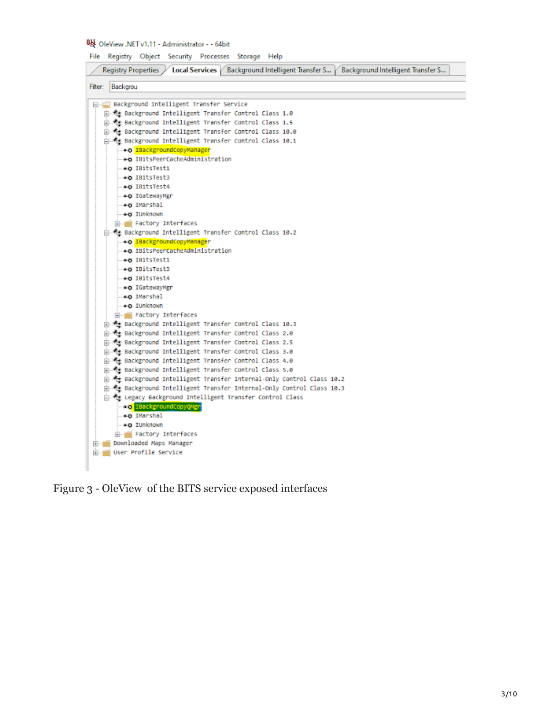#### 吸 OleView .NET v1.11 - Administrator - - 64bit

File Registry Object Security Processes Storage Help

Registry Properties / Local Services / Background Intelligent Transfer S... / Background Intelligent Transfer S... Fiter: Backgrou □ Background Intelligent Transfer Service Background Intelligent Transfer Control Class 1.0 B-4 Background Intelligent Transfer Control Class 1.5 Background Intelligent Transfer Control Class 10.0 Background Intelligent Transfer Control Class 10.1 - \* a IBackgroundCopyManager -- \* O IBitsPeerCacheAdministration .eg IBitsTesti -\* BitsTest3 ... \* a IBitsTest4 -sa IGatewayMgr ..\* Q IMarshal -\* C IUnknown A. Factory Interfaces Background Intelligent Transfer Control Class 10.2 - \* a IBackgroundCopyManager eg IBitsPeerCacheAdministration ... \*\* IBitsTest1 ed IBitsTest3 -∗a IBitsTest4 -∗o IGatewayMgr -\*\* IMarshal - « a TUnknown Factory Interfaces 由 性 Background Intelligent Transfer Control Class 10.3 Background Intelligent Transfer Control Class 2.0 Background Intelligent Transfer Control Class 2.5 B-4 Background Intelligent Transfer Control Class 3.0 Background Intelligent Transfer Control Class 4.0 Background Intelligent Transfer Control Class 5.0 Background Intelligent Transfer Internal-Only Control Class 10.2 由 % Background Intelligent Transfer Internal-Only Control Class 10.3 Legacy Background Intelligent Transfer Control Class **Rad TBackgroundCopyQMgr** -\* DMarshal -sa IUnknown **E- Factory Interfaces** Downloaded Maps Manager User Profile Service

Figure 3 - OleView of the BITS service exposed interfaces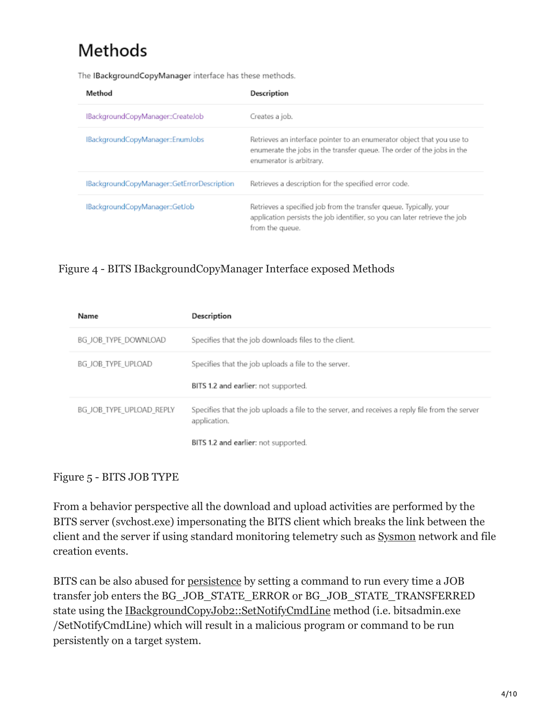# Methods

The IBackgroundCopyManager interface has these methods.

| Method                                      | Description                                                                                                                                                                  |
|---------------------------------------------|------------------------------------------------------------------------------------------------------------------------------------------------------------------------------|
| IBackgroundCopyManager::CreateJob           | Creates a job.                                                                                                                                                               |
| IBackgroundCopyManager::EnumJobs            | Retrieves an interface pointer to an enumerator object that you use to<br>enumerate the jobs in the transfer queue. The order of the jobs in the<br>enumerator is arbitrary. |
| IBackgroundCopyManager::GetErrorDescription | Retrieves a description for the specified error code.                                                                                                                        |
| IBackgroundCopyManager::GetJob              | Retrieves a specified job from the transfer queue. Typically, your<br>application persists the job identifier, so you can later retrieve the job<br>from the queue.          |

#### Figure 4 - BITS IBackgroundCopyManager Interface exposed Methods

| Name                     | Description                                                                                                    |
|--------------------------|----------------------------------------------------------------------------------------------------------------|
| BG JOB TYPE DOWNLOAD     | Specifies that the job downloads files to the client.                                                          |
| BG JOB TYPE UPLOAD       | Specifies that the job uploads a file to the server.                                                           |
|                          | BITS 1.2 and earlier: not supported.                                                                           |
| BG JOB TYPE UPLOAD REPLY | Specifies that the job uploads a file to the server, and receives a reply file from the server<br>application. |
|                          | BITS 1.2 and earlier: not supported.                                                                           |

#### Figure 5 - BITS JOB TYPE

From a behavior perspective all the download and upload activities are performed by the BITS server (svchost.exe) impersonating the BITS client which breaks the link between the client and the server if using standard monitoring telemetry such as [Sysmon](https://docs.microsoft.com/en-us/sysinternals/downloads/sysmon) network and file creation events.

BITS can be also abused for [persistence](https://pentestlab.blog/2019/10/30/persistence-bits-jobs/) by setting a command to run every time a JOB transfer job enters the BG\_JOB\_STATE\_ERROR or BG\_JOB\_STATE\_TRANSFERRED state using the [IBackgroundCopyJob2::SetNotifyCmdLine](https://docs.microsoft.com/en-us/windows/win32/api/bits1_5/nf-bits1_5-ibackgroundcopyjob2-setnotifycmdline) method (i.e. bitsadmin.exe /SetNotifyCmdLine) which will result in a malicious program or command to be run persistently on a target system.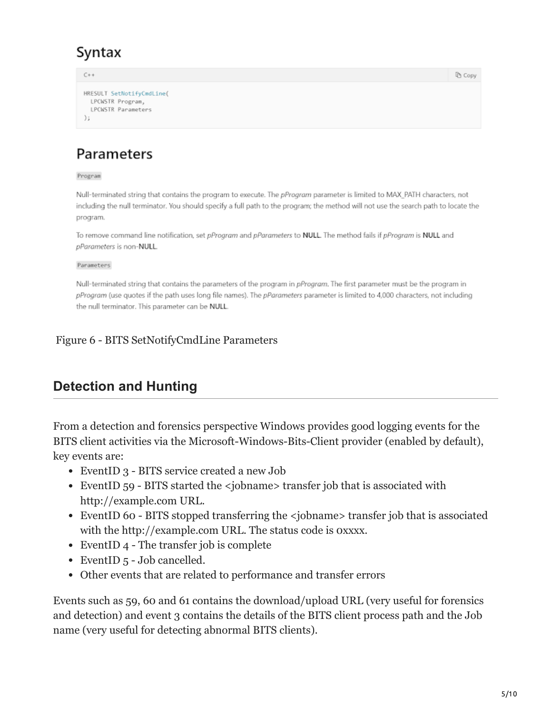# Syntax

 $C++$ **D** Copy HRESULT SetNotifyCmdLine( LPCWSTR Program, LPCWSTR Parameters  $\frac{1}{2}$ 

# Parameters

Program

Null-terminated string that contains the program to execute. The pProgram parameter is limited to MAX PATH characters, not including the null terminator. You should specify a full path to the program; the method will not use the search path to locate the program.

To remove command line notification, set pProgram and pParameters to NULL. The method fails if pProgram is NULL and pParameters is non-NULL.

Parameters

Null-terminated string that contains the parameters of the program in pProgram. The first parameter must be the program in pProgram (use quotes if the path uses long file names). The pParameters parameter is limited to 4,000 characters, not including the null terminator. This parameter can be NULL.

#### Figure 6 - BITS SetNotifyCmdLine Parameters

# **Detection and Hunting**

From a detection and forensics perspective Windows provides good logging events for the BITS client activities via the Microsoft-Windows-Bits-Client provider (enabled by default), key events are:

- EventID 3 BITS service created a new Job
- EventID 59 BITS started the <jobname> transfer job that is associated with http://example.com URL.
- EventID 60 BITS stopped transferring the <jobname> transfer job that is associated with the http://example.com URL. The status code is oxxxx.
- EventID 4 The transfer job is complete
- EventID 5 Job cancelled.
- Other events that are related to performance and transfer errors

Events such as 59, 60 and 61 contains the download/upload URL (very useful for forensics and detection) and event 3 contains the details of the BITS client process path and the Job name (very useful for detecting abnormal BITS clients).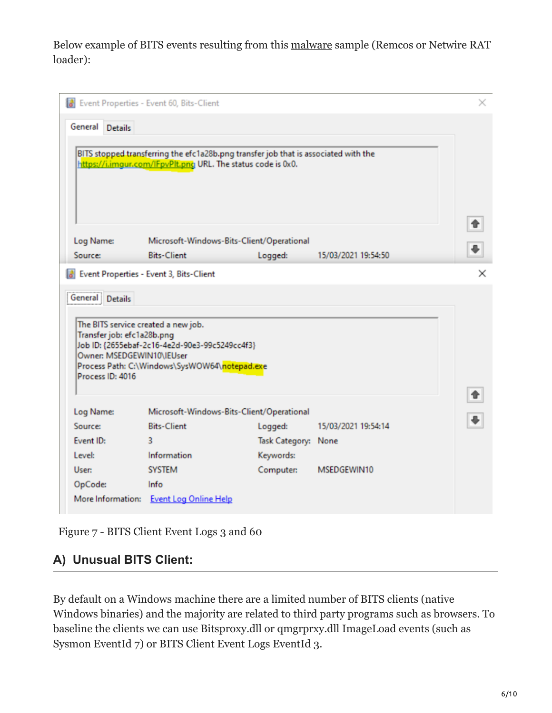Below example of BITS events resulting from this [malware](https://app.any.run/tasks/43b6c05a-e0a8-4627-9f8d-ca66a950ed17/) sample (Remcos or Netwire RAT loader):

|                                                                                                                    | Event Properties - Event 60, Bits-Client                                                                                                            |                     |                     | × |
|--------------------------------------------------------------------------------------------------------------------|-----------------------------------------------------------------------------------------------------------------------------------------------------|---------------------|---------------------|---|
| General Details                                                                                                    | BITS stopped transferring the efc1a28b.png transfer job that is associated with the<br>https://i.imgur.com/IFpvPlt.png URL. The status code is 0x0. |                     |                     |   |
| Log Name:<br>Source:                                                                                               | Microsoft-Windows-Bits-Client/Operational<br><b>Bits-Client</b>                                                                                     | Logged:             | 15/03/2021 19:54:50 |   |
|                                                                                                                    | Event Properties - Event 3, Bits-Client                                                                                                             |                     |                     | × |
| The BITS service created a new job.<br>Transfer job: efc1a28b.png<br>Owner: MSEDGEWIN10\IEUser<br>Process ID: 4016 | Job ID: {2655ebaf-2c16-4e2d-90e3-99c5249cc4f3}<br>Process Path: C:\Windows\SysWOW64\notepad.exe                                                     |                     |                     |   |
| Log Name:                                                                                                          | Microsoft-Windows-Bits-Client/Operational                                                                                                           |                     |                     |   |
| Source:                                                                                                            | <b>Bits-Client</b>                                                                                                                                  | Logged:             | 15/03/2021 19:54:14 |   |
|                                                                                                                    |                                                                                                                                                     |                     |                     |   |
| Event ID:                                                                                                          | 3                                                                                                                                                   | Task Category: None |                     |   |
| Level:                                                                                                             | Information                                                                                                                                         | Keywords:           |                     |   |
| User:                                                                                                              | <b>SYSTEM</b>                                                                                                                                       | Computer:           | MSEDGEWIN10         |   |
| OpCode:                                                                                                            | Info                                                                                                                                                |                     |                     |   |

Figure 7 - BITS Client Event Logs 3 and 60

### **A) Unusual BITS Client:**

By default on a Windows machine there are a limited number of BITS clients (native Windows binaries) and the majority are related to third party programs such as browsers. To baseline the clients we can use Bitsproxy.dll or qmgrprxy.dll ImageLoad events (such as Sysmon EventId 7) or BITS Client Event Logs EventId 3.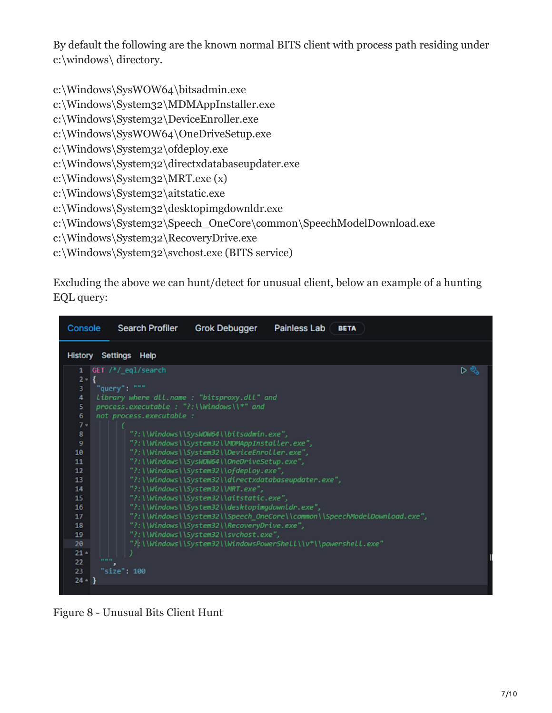By default the following are the known normal BITS client with process path residing under c:\windows\ directory.

c:\Windows\SysWOW64\bitsadmin.exe

c:\Windows\System32\MDMAppInstaller.exe

c:\Windows\System32\DeviceEnroller.exe

c:\Windows\SysWOW64\OneDriveSetup.exe

c:\Windows\System32\ofdeploy.exe

c:\Windows\System32\directxdatabaseupdater.exe

c:\Windows\System32\MRT.exe (x)

c:\Windows\System32\aitstatic.exe

c:\Windows\System32\desktopimgdownldr.exe

c:\Windows\System32\Speech\_OneCore\common\SpeechModelDownload.exe

c:\Windows\System32\RecoveryDrive.exe

c:\Windows\System32\svchost.exe (BITS service)

Excluding the above we can hunt/detect for unusual client, below an example of a hunting EQL query:

| Console                                                                                                                                                            | <b>Search Profiler</b>                                                                                                                                                     | <b>Grok Debugger</b>                                                                                                                                                                                                                                                                                                                                                                                                                                                                                                                                                                   | <b>Painless Lab</b> | <b>BETA</b>                                                               |     |
|--------------------------------------------------------------------------------------------------------------------------------------------------------------------|----------------------------------------------------------------------------------------------------------------------------------------------------------------------------|----------------------------------------------------------------------------------------------------------------------------------------------------------------------------------------------------------------------------------------------------------------------------------------------------------------------------------------------------------------------------------------------------------------------------------------------------------------------------------------------------------------------------------------------------------------------------------------|---------------------|---------------------------------------------------------------------------|-----|
| <b>History</b>                                                                                                                                                     | Settings Help                                                                                                                                                              |                                                                                                                                                                                                                                                                                                                                                                                                                                                                                                                                                                                        |                     |                                                                           |     |
| 1<br>$2 -$<br>з<br>4<br>5<br>6<br>$7 -$<br>8<br>9<br>10<br>11<br>12<br>13<br>14<br>15<br>16<br>17<br>18<br>19<br>20<br>$21 -$<br>22 <sub>2</sub><br>23<br>$24 -$ } | GET /*/_eql/search<br>"query": """<br>library where dll.name : "bitsproxy.dll" and<br>process.executable : "?:\\Windows\\*" and<br>not process.executable :<br>"size": 100 | "?:\\Windows\\SysWOW64\\bitsadmin.exe",<br>"?:\\Windows\\System32\\MDMAppInstaller.exe",<br>"?:\\Windows\\System32\\DeviceEnroller.exe",<br>"?:\\Windows\\SysWOW64\\OneDriveSetup.exe",<br>"?:\\Windows\\System32\\ofdeploy.exe",<br>"?:\\Windows\\System32\\directxdatabaseupdater.exe",<br>"?:\\Windows\\System32\\MRT.exe",<br>"?:\\Windows\\System32\\aitstatic.exe",<br>"?:\\Windows\\System32\\desktopimgdownldr.exe",<br>"?:\\Windows\\System32\\RecoveryDrive.exe",<br>"?:\\Windows\\System32\\svchost.exe",<br>"?:\\Windows\\System32\\WindowsPowerShell\\v*\\powershell.exe" |                     | "?:\\Windows\\System32\\Speech_OneCore\\common\\SpeechModeLDownload.exe", | ⊳ ళ |
|                                                                                                                                                                    |                                                                                                                                                                            |                                                                                                                                                                                                                                                                                                                                                                                                                                                                                                                                                                                        |                     |                                                                           |     |

Figure 8 - Unusual Bits Client Hunt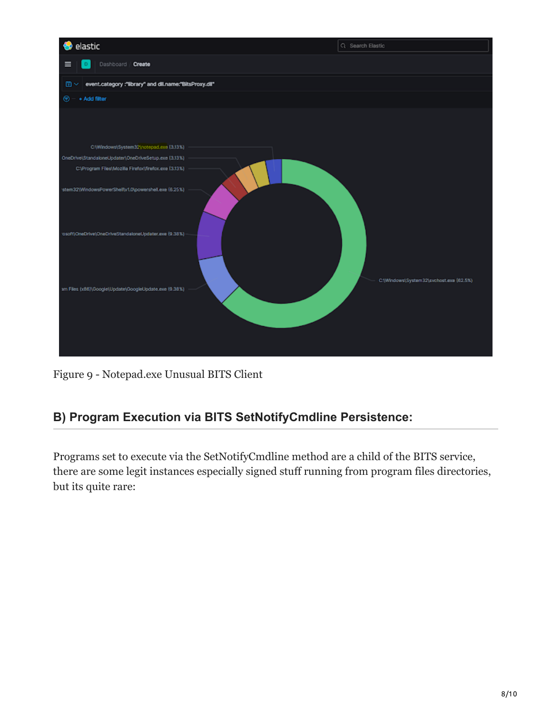

Figure 9 - Notepad.exe Unusual BITS Client

# **B) Program Execution via BITS SetNotifyCmdline Persistence:**

Programs set to execute via the SetNotifyCmdline method are a child of the BITS service, there are some legit instances especially signed stuff running from program files directories, but its quite rare: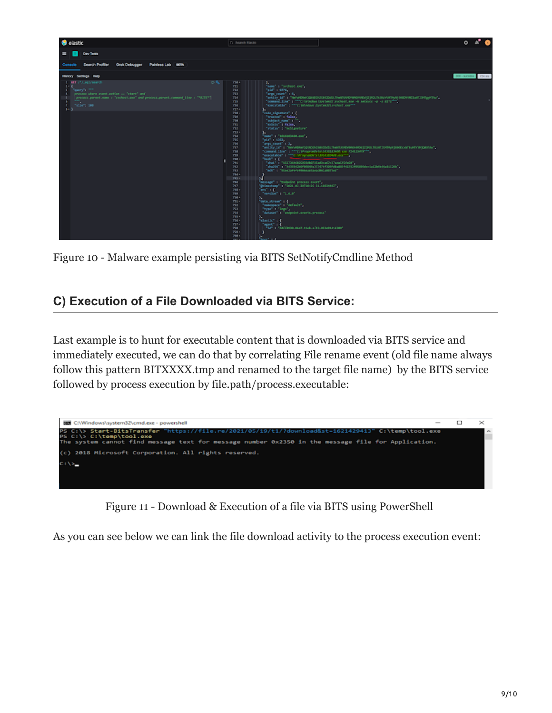

Figure 10 - Malware example persisting via BITS SetNotifyCmdline Method

## **C) Execution of a File Downloaded via BITS Service:**

Last example is to hunt for executable content that is downloaded via BITS service and immediately executed, we can do that by correlating File rename event (old file name always follow this pattern BITXXXX.tmp and renamed to the target file name) by the BITS service followed by process execution by file.path/process.executable:



Figure 11 - Download & Execution of a file via BITS using PowerShell

As you can see below we can link the file download activity to the process execution event: